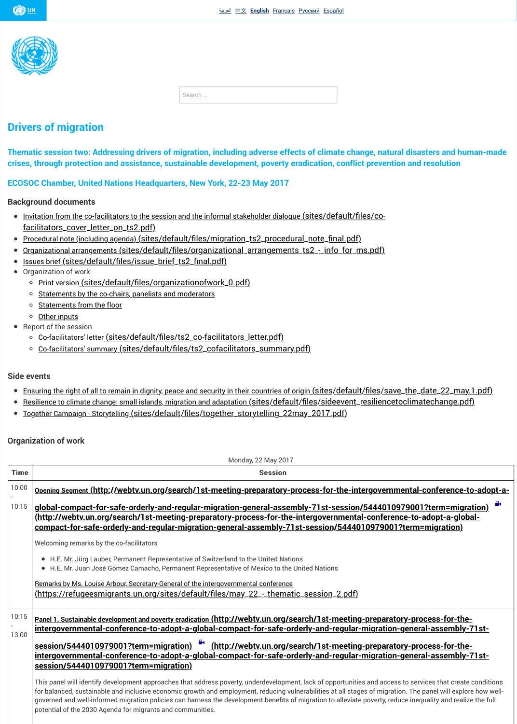- <u>Other inputs</u>
- [Rep](http://www.un.org/)ort of the session
	- Co-facilitators' letter (sites/default/files/ts2\_co-facilitators\_letter.pdf)
	- o Co-facilitators' summary (sites/default/files/ts2\_cofacilitators\_summary.pdf)

## [Side events](https://refugeesmigrants.un.org/)

- Ensuring the right of all to remain in dignity, peace and security in their countries of origin (sites)
- <u>Resilience to climate change: small islands, migration and adaptation (sites/default/file</u>  $\bullet$
- Together Campaign Storytelling (sites/default/files/together\_storytelling\_22may\_2

## Organization of work

Monday, 22 May 2017

Time **Time** Session

<span id="page-0-0"></span>

| 10:00          | Opening Segment (http://webtv.un.org/search/1st-meeting-preparatory-proces                                                                                                                                                                                                                                                                             |
|----------------|--------------------------------------------------------------------------------------------------------------------------------------------------------------------------------------------------------------------------------------------------------------------------------------------------------------------------------------------------------|
| 10:15          | <u>global-compact-for-safe-orderly-and-regular-migration-general-assembly-7</u><br><u>(http://webtv.un.org/search/1st-meeting-preparatory-process-for-the-inter</u><br>compact-for-safe-orderly-and-regular-migration-general-assembly-71st-se                                                                                                         |
|                | Welcoming remarks by the co-facilitators                                                                                                                                                                                                                                                                                                               |
|                | • H.E. Mr. Jürg Lauber, Permanent Representative of Switzerland to the United Nations<br>• H.E. Mr. Juan José Gómez Camacho, Permanent Representative of Mexico to the United                                                                                                                                                                          |
|                | Remarks by Ms. Louise Arbour, Secretary-General of the intergovernmental conference                                                                                                                                                                                                                                                                    |
|                | <u>(https://refugeesmigrants.un.org/sites/default/files/may_22_-_thematic_se:</u>                                                                                                                                                                                                                                                                      |
| 10:15<br>13:00 | <u>Panel 1. Sustainable development and poverty eradication (http://webtv.un.org/search</u><br>intergovernmental-conference-to-adopt-a-global-compact-for-safe-orderly-<br>intergovernmental-conference-to-adopt-a-global-compact-for-safe-orderly-<br>session/5444010979001?term=migration)                                                           |
|                | This panel will identify development approaches that address poverty, underdevelopment, lack<br>for balanced, sustainable and inclusive economic growth and employment, reducing vulnerab<br>governed and well-informed migration policies can harness the development benefits of migra<br>potential of the 2030 Agenda for migrants and communities. |
|                |                                                                                                                                                                                                                                                                                                                                                        |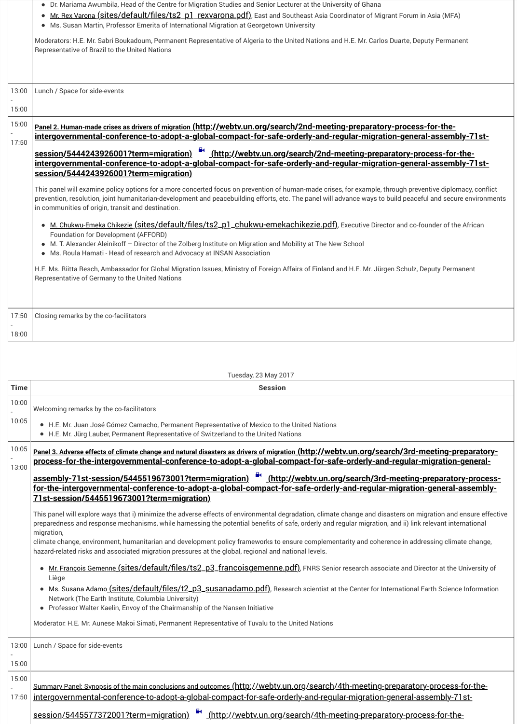| <del>.</del>             | <u>  oroomig romanico sy the oo raomtatoro</u> |
|--------------------------|------------------------------------------------|
| $\overline{\phantom{a}}$ |                                                |
| 18:00                    |                                                |

Tuesday, 23 May 2017

| <b>Time</b> | <b>Session</b>                                                                                                                                                                                                                                                                                                                                                                                                                                                                                                                                                                                                                                                                                                                                                                                                                  |  |
|-------------|---------------------------------------------------------------------------------------------------------------------------------------------------------------------------------------------------------------------------------------------------------------------------------------------------------------------------------------------------------------------------------------------------------------------------------------------------------------------------------------------------------------------------------------------------------------------------------------------------------------------------------------------------------------------------------------------------------------------------------------------------------------------------------------------------------------------------------|--|
| 10:00       | Welcoming remarks by the co-facilitators                                                                                                                                                                                                                                                                                                                                                                                                                                                                                                                                                                                                                                                                                                                                                                                        |  |
| 10:05       | • H.E. Mr. Juan José Gómez Camacho, Permanent Representative of Mexico to the United<br>• H.E. Mr. Jürg Lauber, Permanent Representative of Switzerland to the United Nations                                                                                                                                                                                                                                                                                                                                                                                                                                                                                                                                                                                                                                                   |  |
| 10:05       | <u>Panel 3. Adverse effects of climate change and natural disasters as drivers of migration (http</u><br>process-for-the-intergovernmental-conference-to-adopt-a-global-compact-                                                                                                                                                                                                                                                                                                                                                                                                                                                                                                                                                                                                                                                |  |
| 13:00       | assembly-71st-session/5445519673001?term=migration)<br><u>_(http://webty</u><br>for-the-intergovernmental-conference-to-adopt-a-global-compact-for-safe-<br><u>71st-session/5445519673001?term=migration)</u>                                                                                                                                                                                                                                                                                                                                                                                                                                                                                                                                                                                                                   |  |
|             | This panel will explore ways that i) minimize the adverse effects of environmental degradation<br>preparedness and response mechanisms, while harnessing the potential benefits of safe, orde<br>migration,<br>climate change, environment, humanitarian and development policy frameworks to ensure cor<br>hazard-related risks and associated migration pressures at the global, regional and national let<br>Mr. François Gemenne (sites/default/files/ts2_p3_francoisgemenne.pdf), FNF<br>Liège<br><u>Ms. Susana Adamo (sites/default/files/t2_p3_susanadamo.pdf)</u> , Research scie<br>Network (The Earth Institute, Columbia University)<br>• Professor Walter Kaelin, Envoy of the Chairmanship of the Nansen Initiative<br>Moderator: H.E. Mr. Aunese Makoi Simati, Permanent Representative of Tuvalu to the United N |  |
| 13:00       | Lunch / Space for side-events                                                                                                                                                                                                                                                                                                                                                                                                                                                                                                                                                                                                                                                                                                                                                                                                   |  |
| 15:00       |                                                                                                                                                                                                                                                                                                                                                                                                                                                                                                                                                                                                                                                                                                                                                                                                                                 |  |
| 15:00       | <u>Summary Panel: Synopsis of the main conclusions and outcomes (http://webtv.un.org/s</u>                                                                                                                                                                                                                                                                                                                                                                                                                                                                                                                                                                                                                                                                                                                                      |  |
| 17:50       | intergovernmental-conference-to-adopt-a-global-compact-for-safe-orderly-an                                                                                                                                                                                                                                                                                                                                                                                                                                                                                                                                                                                                                                                                                                                                                      |  |
|             | session/5445577372001?term=migration)<br>(http://webtv.un.org/search/                                                                                                                                                                                                                                                                                                                                                                                                                                                                                                                                                                                                                                                                                                                                                           |  |